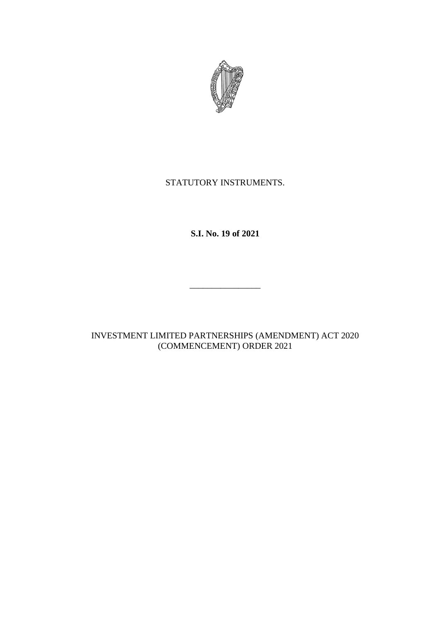

## STATUTORY INSTRUMENTS.

**S.I. No. 19 of 2021**

INVESTMENT LIMITED PARTNERSHIPS (AMENDMENT) ACT 2020 (COMMENCEMENT) ORDER 2021

\_\_\_\_\_\_\_\_\_\_\_\_\_\_\_\_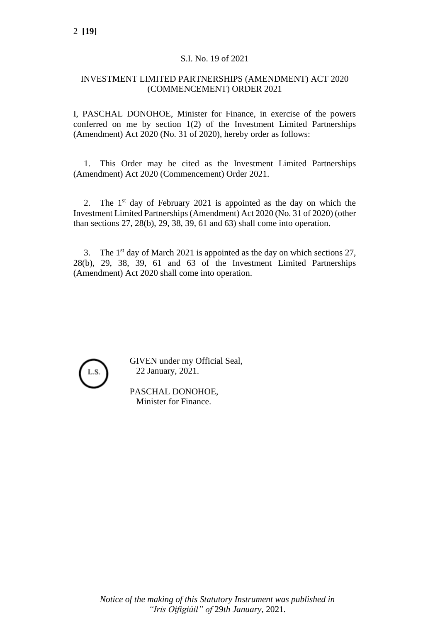## S.I. No. 19 of 2021

## INVESTMENT LIMITED PARTNERSHIPS (AMENDMENT) ACT 2020 (COMMENCEMENT) ORDER 2021

I, PASCHAL DONOHOE, Minister for Finance, in exercise of the powers conferred on me by section 1(2) of the Investment Limited Partnerships (Amendment) Act 2020 (No. 31 of 2020), hereby order as follows:

1. This Order may be cited as the Investment Limited Partnerships (Amendment) Act 2020 (Commencement) Order 2021.

2. The  $1<sup>st</sup>$  day of February 2021 is appointed as the day on which the Investment Limited Partnerships (Amendment) Act 2020 (No. 31 of 2020) (other than sections 27, 28(b), 29, 38, 39, 61 and 63) shall come into operation.

3. The  $1<sup>st</sup>$  day of March 2021 is appointed as the day on which sections 27, 28(b), 29, 38, 39, 61 and 63 of the Investment Limited Partnerships (Amendment) Act 2020 shall come into operation.



GIVEN under my Official Seal, 22 January, 2021.

PASCHAL DONOHOE, Minister for Finance.

*Notice of the making of this Statutory Instrument was published in "Iris Oifigiúil" of* 29*th January,* 2021*.*